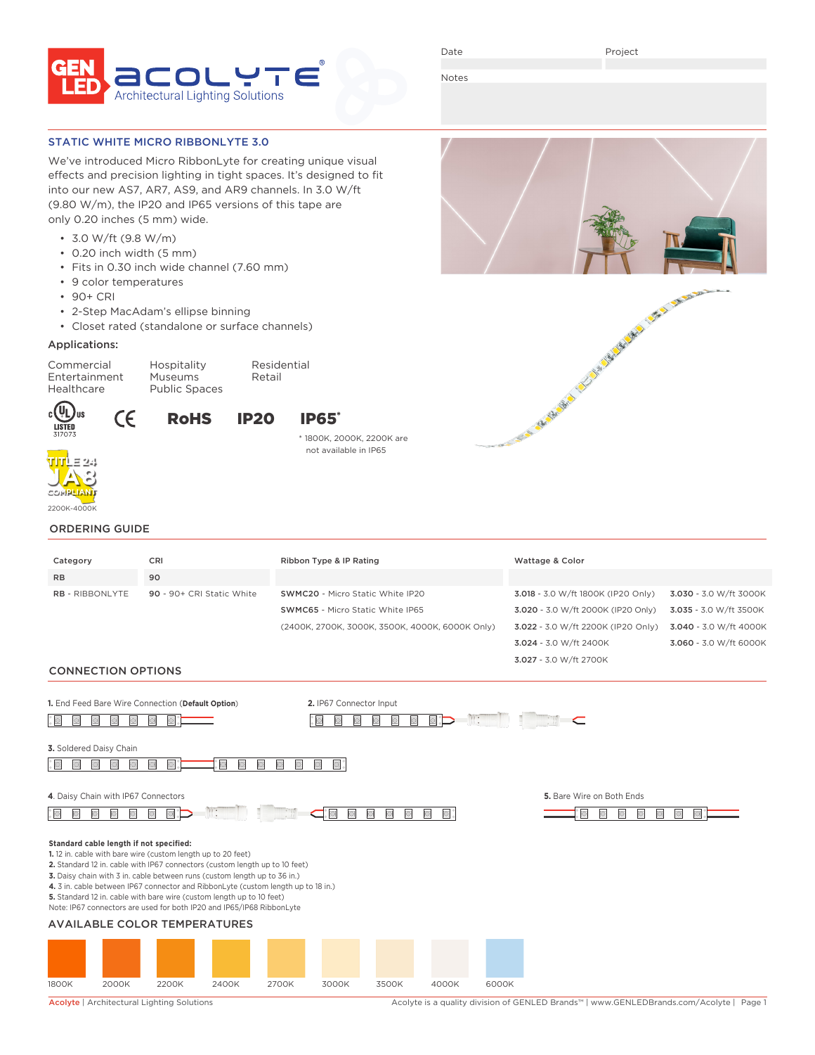

Date

Project

Notes

# STATIC WHITE MICRO RIBBONLYTE 3.0

We've introduced Micro RibbonLyte for creating unique visual effects and precision lighting in tight spaces. It's designed to fit into our new AS7, AR7, AS9, and AR9 channels. In 3.0 W/ft (9.80 W/m), the IP20 and IP65 versions of this tape are only 0.20 inches (5 mm) wide.

- 3.0 W/ft (9.8 W/m)
- 0.20 inch width (5 mm)
- Fits in 0.30 inch wide channel (7.60 mm)
- 9 color temperatures
- 90+ CRI
- 2-Step MacAdam's ellipse binning
- Closet rated (standalone or surface channels)

# Applications:

Commercial Hospitality Residential Entertainment Museums Retail Healthcare Public Spaces

# RoHS IP20 IP65\*



 $c(U_L)$ us

LISTED

\* 1800K, 2000K, 2200K are not available in IP65



CE

# ORDERING GUIDE

| Category                                            |                                                                                                                 | CRI                                                          |                                                                                                                                                                                                                                                                                                                                                                                                 |       | Ribbon Type & IP Rating |       |       |                                                                                                                | Wattage & Color               |                                                                            |                        |  |  |
|-----------------------------------------------------|-----------------------------------------------------------------------------------------------------------------|--------------------------------------------------------------|-------------------------------------------------------------------------------------------------------------------------------------------------------------------------------------------------------------------------------------------------------------------------------------------------------------------------------------------------------------------------------------------------|-------|-------------------------|-------|-------|----------------------------------------------------------------------------------------------------------------|-------------------------------|----------------------------------------------------------------------------|------------------------|--|--|
| <b>RB</b>                                           |                                                                                                                 | 90                                                           |                                                                                                                                                                                                                                                                                                                                                                                                 |       |                         |       |       |                                                                                                                |                               |                                                                            |                        |  |  |
| <b>RB</b> - RIBBONLYTE<br>90 - 90+ CRI Static White |                                                                                                                 |                                                              | SWMC20 - Micro Static White IP20<br><b>SWMC65</b> - Micro Static White IP65<br>(2400K, 2700K, 3000K, 3500K, 4000K, 6000K Only)                                                                                                                                                                                                                                                                  |       |                         |       |       | 3.018 - 3.0 W/ft 1800K (IP20 Only)<br>3.020 - 3.0 W/ft 2000K (IP20 Only)<br>3.022 - 3.0 W/ft 2200K (IP20 Only) |                               | 3.030 - 3.0 W/ft 3000K<br>3.035 - 3.0 W/ft 3500K<br>3.040 - 3.0 W/ft 4000K |                        |  |  |
|                                                     |                                                                                                                 |                                                              |                                                                                                                                                                                                                                                                                                                                                                                                 |       |                         |       |       |                                                                                                                | 3.024 - 3.0 W/ft 2400K        |                                                                            | 3.060 - 3.0 W/ft 6000K |  |  |
|                                                     |                                                                                                                 |                                                              |                                                                                                                                                                                                                                                                                                                                                                                                 |       |                         |       |       |                                                                                                                |                               |                                                                            |                        |  |  |
| <b>CONNECTION OPTIONS</b>                           |                                                                                                                 |                                                              |                                                                                                                                                                                                                                                                                                                                                                                                 |       |                         |       |       |                                                                                                                | 3.027 - 3.0 W/ft 2700K        |                                                                            |                        |  |  |
|                                                     |                                                                                                                 |                                                              |                                                                                                                                                                                                                                                                                                                                                                                                 |       |                         |       |       |                                                                                                                |                               |                                                                            |                        |  |  |
|                                                     |                                                                                                                 | 1. End Feed Bare Wire Connection (Default Option)            |                                                                                                                                                                                                                                                                                                                                                                                                 |       | 2. IP67 Connector Input |       |       |                                                                                                                |                               |                                                                            |                        |  |  |
| o                                                   |                                                                                                                 | $\Box$                                                       |                                                                                                                                                                                                                                                                                                                                                                                                 |       | $\mathbb{R}$ :          |       |       |                                                                                                                |                               |                                                                            |                        |  |  |
|                                                     |                                                                                                                 |                                                              |                                                                                                                                                                                                                                                                                                                                                                                                 |       |                         |       |       |                                                                                                                |                               |                                                                            |                        |  |  |
| 3. Soldered Daisy Chain                             |                                                                                                                 |                                                              |                                                                                                                                                                                                                                                                                                                                                                                                 |       |                         |       |       |                                                                                                                |                               |                                                                            |                        |  |  |
|                                                     |                                                                                                                 |                                                              |                                                                                                                                                                                                                                                                                                                                                                                                 |       |                         |       |       |                                                                                                                |                               |                                                                            |                        |  |  |
|                                                     |                                                                                                                 |                                                              |                                                                                                                                                                                                                                                                                                                                                                                                 |       |                         |       |       |                                                                                                                |                               |                                                                            |                        |  |  |
| 4. Daisy Chain with IP67 Connectors                 |                                                                                                                 |                                                              |                                                                                                                                                                                                                                                                                                                                                                                                 |       |                         |       |       |                                                                                                                | 5. Bare Wire on Both Ends     |                                                                            |                        |  |  |
| <b>D</b>                                            | $\mathbb{R}$ :<br>$\Box$<br>$\Box$<br>$\circ$<br>$\bullet$ :<br>$\circlearrowright$<br>$\blacksquare$<br>$\Box$ |                                                              |                                                                                                                                                                                                                                                                                                                                                                                                 |       |                         |       |       |                                                                                                                | $\bigcirc$<br>$\bigcirc$<br>o |                                                                            |                        |  |  |
|                                                     |                                                                                                                 |                                                              |                                                                                                                                                                                                                                                                                                                                                                                                 |       |                         |       |       |                                                                                                                |                               |                                                                            |                        |  |  |
| Standard cable length if not specified:             |                                                                                                                 | 1. 12 in. cable with bare wire (custom length up to 20 feet) | 2. Standard 12 in. cable with IP67 connectors (custom length up to 10 feet)<br>3. Daisy chain with 3 in. cable between runs (custom length up to 36 in.)<br>4. 3 in. cable between IP67 connector and RibbonLyte (custom length up to 18 in.)<br>5. Standard 12 in. cable with bare wire (custom length up to 10 feet)<br>Note: IP67 connectors are used for both IP20 and IP65/IP68 RibbonLyte |       |                         |       |       |                                                                                                                |                               |                                                                            |                        |  |  |
| <b>AVAILABLE COLOR TEMPERATURES</b>                 |                                                                                                                 |                                                              |                                                                                                                                                                                                                                                                                                                                                                                                 |       |                         |       |       |                                                                                                                |                               |                                                                            |                        |  |  |
| 1800K                                               | 2000K                                                                                                           | 2200K                                                        | 2400K                                                                                                                                                                                                                                                                                                                                                                                           | 2700K | 3000K                   | 3500K | 4000K | 6000K                                                                                                          |                               |                                                                            |                        |  |  |

Acolyte | Architectural Lighting Solutions Acolyte is a quality division of GENLED Brands™ | www.GENLEDBrands.com/Acolyte | Page 1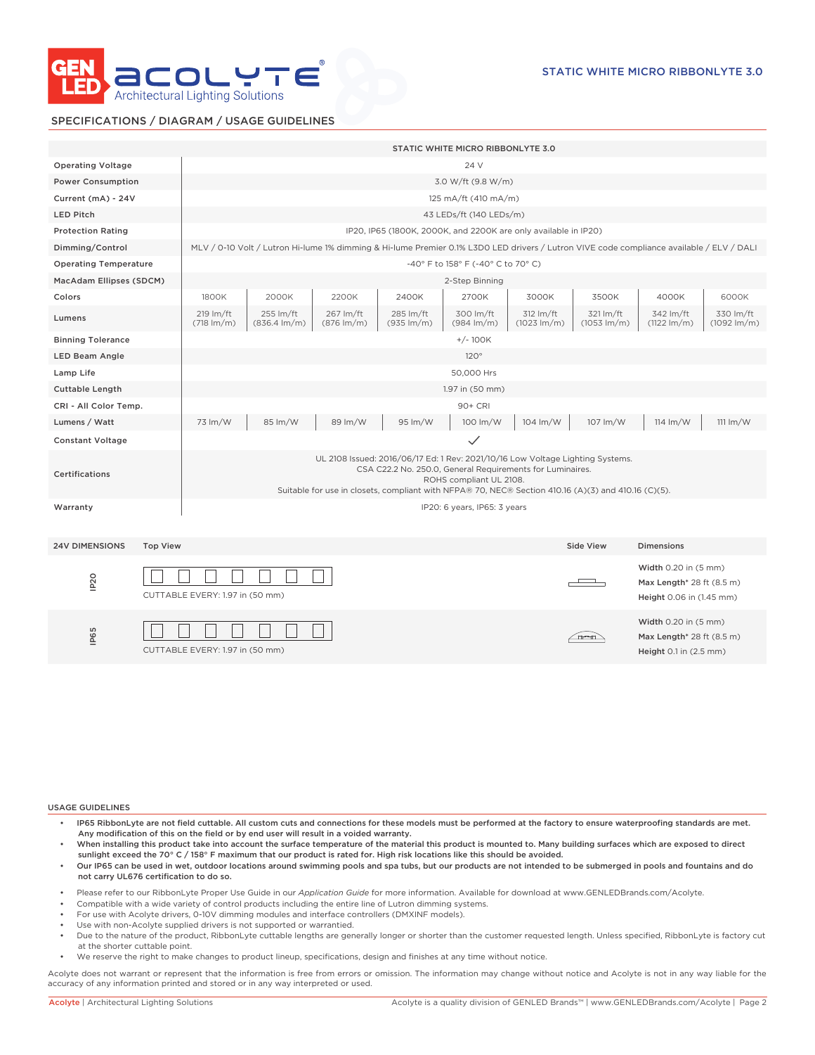

# SPECIFICATIONS / DIAGRAM / USAGE GUIDELINES

|                                         |                                 | STATIC WHITE MICRO RIBBONLYTE 3.0                                                                                                                                                                                                                                             |                                     |                                   |                                     |                                     |                                    |                                    |                                                                                    |                                      |  |  |
|-----------------------------------------|---------------------------------|-------------------------------------------------------------------------------------------------------------------------------------------------------------------------------------------------------------------------------------------------------------------------------|-------------------------------------|-----------------------------------|-------------------------------------|-------------------------------------|------------------------------------|------------------------------------|------------------------------------------------------------------------------------|--------------------------------------|--|--|
| <b>Operating Voltage</b>                |                                 | 24 V                                                                                                                                                                                                                                                                          |                                     |                                   |                                     |                                     |                                    |                                    |                                                                                    |                                      |  |  |
| <b>Power Consumption</b>                |                                 | 3.0 W/ft (9.8 W/m)                                                                                                                                                                                                                                                            |                                     |                                   |                                     |                                     |                                    |                                    |                                                                                    |                                      |  |  |
| Current (mA) - 24V                      |                                 | 125 mA/ft (410 mA/m)                                                                                                                                                                                                                                                          |                                     |                                   |                                     |                                     |                                    |                                    |                                                                                    |                                      |  |  |
| <b>LED Pitch</b>                        |                                 | 43 LEDs/ft (140 LEDs/m)                                                                                                                                                                                                                                                       |                                     |                                   |                                     |                                     |                                    |                                    |                                                                                    |                                      |  |  |
| <b>Protection Rating</b>                |                                 | IP20, IP65 (1800K, 2000K, and 2200K are only available in IP20)                                                                                                                                                                                                               |                                     |                                   |                                     |                                     |                                    |                                    |                                                                                    |                                      |  |  |
| Dimming/Control                         |                                 | MLV / 0-10 Volt / Lutron Hi-lume 1% dimming & Hi-lume Premier 0.1% L3D0 LED drivers / Lutron VIVE code compliance available / ELV / DALI                                                                                                                                      |                                     |                                   |                                     |                                     |                                    |                                    |                                                                                    |                                      |  |  |
| <b>Operating Temperature</b>            |                                 | -40° F to 158° F (-40° C to 70° C)                                                                                                                                                                                                                                            |                                     |                                   |                                     |                                     |                                    |                                    |                                                                                    |                                      |  |  |
| MacAdam Ellipses (SDCM)                 |                                 | 2-Step Binning                                                                                                                                                                                                                                                                |                                     |                                   |                                     |                                     |                                    |                                    |                                                                                    |                                      |  |  |
| Colors                                  |                                 | 1800K                                                                                                                                                                                                                                                                         | 2000K                               | 2200K                             | 2400K                               | 2700K                               | 3000K                              | 3500K                              | 4000K                                                                              | 6000K                                |  |  |
| Lumens                                  |                                 | 219 lm/ft<br>$(718 \text{ Im/m})$                                                                                                                                                                                                                                             | 255 lm/ft<br>$(836.4 \text{ Im/m})$ | 267 lm/ft<br>$(876 \text{ Im/m})$ | 285 lm/ft<br>$(935 \, \text{Im/m})$ | 300 lm/ft<br>$(984 \, \text{Im/m})$ | 312 lm/ft<br>$(1023 \text{ lm/m})$ | 321 lm/ft<br>$(1053 \text{ Im/m})$ | 342 lm/ft<br>$(1122 \, \text{Im/m})$                                               | 330 lm/ft<br>$(1092 \, \text{Im/m})$ |  |  |
| <b>Binning Tolerance</b>                |                                 | $+/-100K$                                                                                                                                                                                                                                                                     |                                     |                                   |                                     |                                     |                                    |                                    |                                                                                    |                                      |  |  |
| <b>LED Beam Angle</b>                   |                                 | 120°                                                                                                                                                                                                                                                                          |                                     |                                   |                                     |                                     |                                    |                                    |                                                                                    |                                      |  |  |
| Lamp Life                               |                                 | 50,000 Hrs                                                                                                                                                                                                                                                                    |                                     |                                   |                                     |                                     |                                    |                                    |                                                                                    |                                      |  |  |
| <b>Cuttable Length</b>                  |                                 | 1.97 in (50 mm)                                                                                                                                                                                                                                                               |                                     |                                   |                                     |                                     |                                    |                                    |                                                                                    |                                      |  |  |
| CRI - All Color Temp.                   |                                 | 90+ CRI                                                                                                                                                                                                                                                                       |                                     |                                   |                                     |                                     |                                    |                                    |                                                                                    |                                      |  |  |
| Lumens / Watt                           |                                 | 73 lm/W                                                                                                                                                                                                                                                                       | 85 lm/W                             | 89 lm/W                           | 95 lm/W                             | 100 lm/W                            | 104 lm/W                           | 107 lm/W                           | $114 \, \text{Im}/\text{W}$                                                        | $111 \text{ Im}/W$                   |  |  |
| <b>Constant Voltage</b>                 |                                 |                                                                                                                                                                                                                                                                               |                                     |                                   |                                     | $\checkmark$                        |                                    |                                    |                                                                                    |                                      |  |  |
| Certifications                          |                                 | UL 2108 Issued: 2016/06/17 Ed: 1 Rev: 2021/10/16 Low Voltage Lighting Systems.<br>CSA C22.2 No. 250.0, General Requirements for Luminaires.<br>ROHS compliant UL 2108.<br>Suitable for use in closets, compliant with NFPA® 70, NEC® Section 410.16 (A)(3) and 410.16 (C)(5). |                                     |                                   |                                     |                                     |                                    |                                    |                                                                                    |                                      |  |  |
| Warranty                                |                                 | IP20: 6 years, IP65: 3 years                                                                                                                                                                                                                                                  |                                     |                                   |                                     |                                     |                                    |                                    |                                                                                    |                                      |  |  |
| <b>24V DIMENSIONS</b>                   | <b>Top View</b>                 |                                                                                                                                                                                                                                                                               |                                     |                                   |                                     |                                     |                                    | Side View                          | <b>Dimensions</b>                                                                  |                                      |  |  |
| IP <sub>20</sub>                        | CUTTABLE EVERY: 1.97 in (50 mm) |                                                                                                                                                                                                                                                                               |                                     |                                   |                                     |                                     |                                    |                                    | Width 0.20 in (5 mm)<br>Max Length* 28 ft (8.5 m)<br>Height 0.06 in (1.45 mm)      |                                      |  |  |
| IP65<br>CUTTABLE EVERY: 1.97 in (50 mm) |                                 |                                                                                                                                                                                                                                                                               |                                     |                                   |                                     |                                     |                                    | <u>ineeni</u>                      | Width 0.20 in (5 mm)<br>Max Length* 28 ft (8.5 m)<br>Height $0.1$ in $(2.5$ mm $)$ |                                      |  |  |

### USAGE GUIDELINES

- IP65 RibbonLyte are not field cuttable. All custom cuts and connections for these models must be performed at the factory to ensure waterproofing standards are met. Any modification of this on the field or by end user will result in a voided warranty.
- When installing this product take into account the surface temperature of the material this product is mounted to. Many building surfaces which are exposed to direct sunlight exceed the 70° C / 158° F maximum that our product is rated for. High risk locations like this should be avoided.
- Our IP65 can be used in wet, outdoor locations around swimming pools and spa tubs, but our products are not intended to be submerged in pools and fountains and do not carry UL676 certification to do so.
- Please refer to our RibbonLyte Proper Use Guide in our *Application Guide* for more information. Available for download at www.GENLEDBrands.com/Acolyte.
- Compatible with a wide variety of control products including the entire line of Lutron dimming systems.
- For use with Acolyte drivers, 0-10V dimming modules and interface controllers (DMXINF models).
- Use with non-Acolyte supplied drivers is not supported or warrantied.
- Due to the nature of the product, RibbonLyte cuttable lengths are generally longer or shorter than the customer requested length. Unless specified, RibbonLyte is factory cut at the shorter cuttable point.
- We reserve the right to make changes to product lineup, specifications, design and finishes at any time without notice.

Acolyte does not warrant or represent that the information is free from errors or omission. The information may change without notice and Acolyte is not in any way liable for the accuracy of any information printed and stored or in any way interpreted or used.